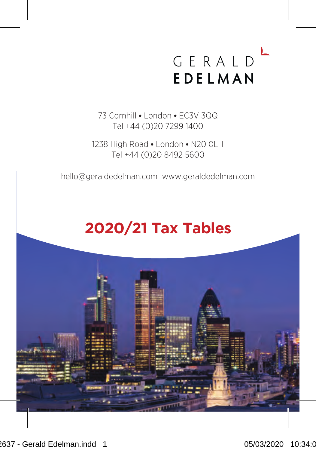# GERALD EDELMAN

73 Cornhill . London . EC3V 300 Tel +44 (0)20 7299 1400

1238 High Road . London . N20 0LH Tel +44 (0)20 8492 5600

hello@geraldedelman.com www.geraldedelman.com

## **2020/21 Tax Tables**

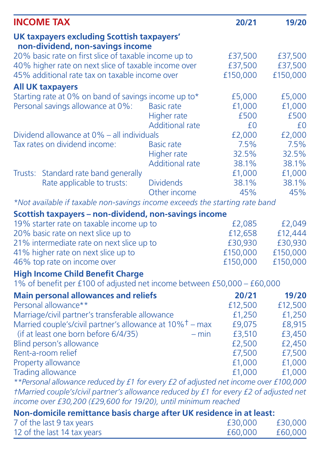|                                                                                                               | <b>INCOME TAX</b>                                                                      |                        | 20/21               | 19/20               |
|---------------------------------------------------------------------------------------------------------------|----------------------------------------------------------------------------------------|------------------------|---------------------|---------------------|
|                                                                                                               | UK taxpayers excluding Scottish taxpayers'                                             |                        |                     |                     |
|                                                                                                               | non-dividend, non-savings income                                                       |                        |                     |                     |
| 20% basic rate on first slice of taxable income up to<br>40% higher rate on next slice of taxable income over |                                                                                        |                        | £37,500             | £37,500             |
|                                                                                                               | 45% additional rate tax on taxable income over                                         |                        | £37,500<br>£150,000 | £37,500<br>£150,000 |
|                                                                                                               |                                                                                        |                        |                     |                     |
|                                                                                                               | <b>All UK taxpayers</b>                                                                |                        |                     |                     |
|                                                                                                               | Starting rate at 0% on band of savings income up to*                                   |                        | £5,000              | £5,000              |
|                                                                                                               | Personal savings allowance at 0%:                                                      | <b>Basic rate</b>      | £1,000              | £1,000              |
|                                                                                                               |                                                                                        | <b>Higher rate</b>     | £500                | £500                |
|                                                                                                               |                                                                                        | <b>Additional rate</b> | £0                  | £0                  |
|                                                                                                               | Dividend allowance at 0% - all individuals                                             |                        | £2,000              | £2,000              |
|                                                                                                               | Tax rates on dividend income:                                                          | <b>Basic rate</b>      | 7.5%<br>32.5%       | 7.5%<br>32.5%       |
|                                                                                                               |                                                                                        | <b>Higher rate</b>     |                     |                     |
|                                                                                                               |                                                                                        | <b>Additional rate</b> | 38.1%               | 38.1%               |
| Trusts:                                                                                                       | Standard rate band generally                                                           | <b>Dividends</b>       | £1,000              | £1,000              |
|                                                                                                               | Rate applicable to trusts:                                                             |                        | 38.1%               | 38.1%<br>45%        |
|                                                                                                               |                                                                                        | Other income           | 45%                 |                     |
|                                                                                                               | *Not available if taxable non-savings income exceeds the starting rate band            |                        |                     |                     |
|                                                                                                               | Scottish taxpayers - non-dividend, non-savings income                                  |                        |                     |                     |
|                                                                                                               | 19% starter rate on taxable income up to                                               |                        | £2,085              | £2,049              |
|                                                                                                               | 20% basic rate on next slice up to                                                     |                        | £12.658             | £12,444             |
|                                                                                                               | 21% intermediate rate on next slice up to                                              |                        | £30,930             | £30,930             |
|                                                                                                               | 41% higher rate on next slice up to                                                    |                        | £150,000            | £150,000            |
|                                                                                                               | 46% top rate on income over                                                            |                        | £150,000            | £150,000            |
|                                                                                                               | <b>High Income Child Benefit Charge</b>                                                |                        |                     |                     |
|                                                                                                               | 1% of benefit per £100 of adjusted net income between £50,000 - £60,000                |                        |                     |                     |
|                                                                                                               | <b>Main personal allowances and reliefs</b>                                            |                        | 20/21               | 19/20               |
|                                                                                                               | Personal allowance**                                                                   |                        | £12,500             | £12,500             |
|                                                                                                               | Marriage/civil partner's transferable allowance                                        |                        | £1,250              | £1,250              |
|                                                                                                               | Married couple's/civil partner's allowance at 10% <sup>†</sup> – max                   |                        | £9,075              | £8,915              |
|                                                                                                               | (if at least one born before 6/4/35)                                                   | $- min$                | £3.510              | £3,450              |
|                                                                                                               | Blind person's allowance                                                               |                        | £2,500              | £2,450              |
|                                                                                                               | Rent-a-room relief                                                                     |                        | £7,500              | £7,500              |
|                                                                                                               | Property allowance                                                                     |                        | £1,000              | £1,000              |
|                                                                                                               | <b>Trading allowance</b>                                                               |                        | £1.000              | £1,000              |
|                                                                                                               | **Personal allowance reduced by £1 for every £2 of adjusted net income over £100,000   |                        |                     |                     |
|                                                                                                               | tMarried couple's/civil partner's allowance reduced by £1 for every £2 of adjusted net |                        |                     |                     |
|                                                                                                               | income over £30,200 (£29,600 for 19/20), until minimum reached                         |                        |                     |                     |
|                                                                                                               | Non-domicile remittance basis charge after UK residence in at least:                   |                        |                     |                     |
|                                                                                                               | 7 of the last 9 tax years                                                              |                        | £30,000             | £30,000             |
|                                                                                                               | 12 of the last 14 tax years                                                            |                        | £60,000             | £60,000             |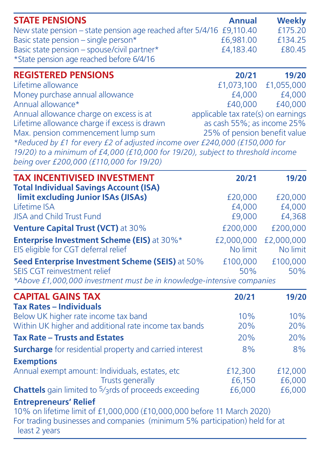| <b>STATE PENSIONS</b><br>New state pension - state pension age reached after 5/4/16 £9,110.40 | <b>Annual</b>                                                    | Weekly<br>£175.20 |
|-----------------------------------------------------------------------------------------------|------------------------------------------------------------------|-------------------|
| Basic state pension - single person*                                                          | £6,981.00                                                        | £134.25           |
| Basic state pension - spouse/civil partner*                                                   | £4.183.40                                                        | £80.45            |
| *State pension age reached before 6/4/16                                                      |                                                                  |                   |
| <b>REGISTERED PENSIONS</b>                                                                    | 20/21                                                            | 19/20             |
| Lifetime allowance                                                                            | £1,073,100                                                       | £1,055,000        |
| Money purchase annual allowance                                                               | £4.000                                                           | £4.000            |
| Annual allowance*                                                                             | £40,000                                                          | £40,000           |
| Annual allowance charge on excess is at<br>Lifetime allowance charge if excess is drawn       | applicable tax rate(s) on earnings<br>as cash 55%; as income 25% |                   |
| Max. pension commencement lump sum                                                            | 25% of pension benefit value                                     |                   |
| *Reduced by £1 for every £2 of adjusted income over £240,000 (£150,000 for                    |                                                                  |                   |
| 19/20) to a minimum of £4,000 (£10,000 for 19/20), subject to threshold income                |                                                                  |                   |
| being over £200,000 (£110,000 for 19/20)                                                      |                                                                  |                   |
| <b>TAX INCENTIVISED INVESTMENT</b><br><b>Total Individual Savings Account (ISA)</b>           | 20/21                                                            | 19/20             |
| limit excluding Junior ISAs (JISAs)                                                           | £20,000                                                          | £20,000           |
| Lifetime ISA                                                                                  | £4,000                                                           | £4,000            |
| <b>JISA and Child Trust Fund</b>                                                              | £9,000                                                           | £4,368            |
| Venture Capital Trust (VCT) at 30%                                                            | £200,000                                                         | £200,000          |
| Enterprise Investment Scheme (EIS) at 30%*                                                    | £2,000,000                                                       | £2,000,000        |
| EIS eligible for CGT deferral relief                                                          | No limit                                                         | No limit          |
| Seed Enterprise Investment Scheme (SEIS) at 50%                                               | £100,000                                                         | £100,000          |
| <b>SEIS CGT reinvestment relief</b>                                                           | 50%                                                              | 50%               |
| *Above £1,000,000 investment must be in knowledge-intensive companies                         |                                                                  |                   |
| <b>CAPITAL GAINS TAX</b>                                                                      | 20/21                                                            | 19/20             |
| <b>Tax Rates - Individuals</b><br>Below UK higher rate income tax band                        | 10%                                                              | 10%               |
| Within UK higher and additional rate income tax bands                                         | 20%                                                              | 20%               |
| <b>Tax Rate - Trusts and Estates</b>                                                          | 20%                                                              | 20%               |
| <b>Surcharge</b> for residential property and carried interest                                | 8%                                                               | 8%                |
| <b>Exemptions</b>                                                                             |                                                                  |                   |
| Annual exempt amount: Individuals, estates, etc.                                              | £12,300                                                          | £12,000           |
| <b>Trusts generally</b>                                                                       | £6.150                                                           | £6,000            |
| Chattels gain limited to <sup>5</sup> /3rds of proceeds exceeding                             | £6,000                                                           | £6,000            |
| <b>Entrepreneurs' Relief</b>                                                                  |                                                                  |                   |
| 10% on lifetime limit of £1,000,000 (£10,000,000 before 11 March 2020)                        |                                                                  |                   |
| For trading businesses and companies (minimum 5% participation) held for at<br>least 2 years  |                                                                  |                   |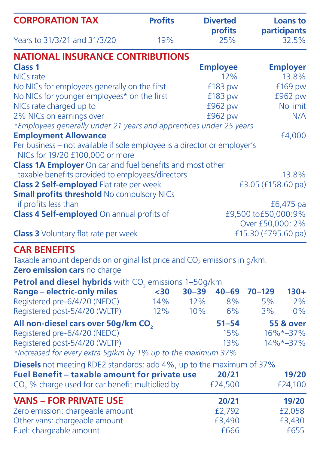| <b>CORPORATION TAX</b>                                                    | <b>Profits</b> | <b>Diverted</b><br>profits | Loans to<br>participants |
|---------------------------------------------------------------------------|----------------|----------------------------|--------------------------|
| Years to 31/3/21 and 31/3/20                                              | 19%            | 25%                        | 32.5%                    |
| <b>NATIONAL INSURANCE CONTRIBUTIONS</b>                                   |                |                            |                          |
| Class <sub>1</sub>                                                        |                | <b>Employee</b>            | <b>Employer</b>          |
| NICs rate                                                                 |                | 12%                        | 13.8%                    |
| No NICs for employees generally on the first                              |                | £183 pw                    | £169 pw                  |
| No NICs for younger employees* on the first                               | £183 pw        | £962 pw                    |                          |
| NICs rate charged up to                                                   | £962 pw        | No limit                   |                          |
| 2% NICs on earnings over                                                  |                | £962 pw                    | N/A                      |
| *Employees generally under 21 years and apprentices under 25 years        |                |                            |                          |
| <b>Employment Allowance</b>                                               |                |                            | £4,000                   |
| Per business - not available if sole employee is a director or employer's |                |                            |                          |
| NICs for 19/20 £100,000 or more                                           |                |                            |                          |
| Class 1A Employer On car and fuel benefits and most other                 |                |                            |                          |
| taxable benefits provided to employees/directors                          |                |                            | 13.8%                    |
| Class 2 Self-employed Flat rate per week                                  |                | £3.05 (£158.60 pa)         |                          |
| <b>Small profits threshold No compulsory NICs</b>                         |                |                            |                          |
| if profits less than                                                      |                |                            | £6,475 pa                |
| Class 4 Self-employed On annual profits of                                |                |                            | £9,500 to£50,000:9%      |
|                                                                           |                |                            | Over £50,000: 2%         |
| <b>Class 3</b> Voluntary flat rate per week                               |                |                            | £15.30 (£795.60 pa)      |
| <b>CAD DENIEEITE</b>                                                      |                |                            |                          |

**CAR BENEFITS**<br>Taxable amount depends on original list price and CO<sub>2</sub> emissions in g/km.<br>**Zero emission cars** no charge

| Petrol and diesel hybrids with CO, emissions 1-50g/km                |      |           |           |            |                      |
|----------------------------------------------------------------------|------|-----------|-----------|------------|----------------------|
| <b>Range - electric-only miles</b>                                   | $30$ | $30 - 39$ | $40 - 69$ | $70 - 129$ | $130+$               |
| Registered pre-6/4/20 (NEDC)                                         | 14%  | 12%       | 8%        | 5%         | 2%                   |
| Registered post-5/4/20 (WLTP)                                        | 12%  | 10%       | 6%        | 3%         | 0%                   |
| All non-diesel cars over 50g/km CO.                                  |      |           | $51 - 54$ |            | <b>55 &amp; over</b> |
| Registered pre-6/4/20 (NEDC)                                         |      |           | 15%       |            | 16%*-37%             |
| Registered post-5/4/20 (WLTP)                                        |      |           | 13%       |            | $14\%*-37\%$         |
| *Increased for every extra 5g/km by 1% up to the maximum 37%         |      |           |           |            |                      |
| Diesels not meeting RDE2 standards: add 4%, up to the maximum of 37% |      |           |           |            |                      |
| Fuel Benefit - taxable amount for private use                        |      |           | 20/21     |            | 19/20                |
| CO, % charge used for car benefit multiplied by                      |      |           | £24.500   |            | £24.100              |
| <b>VANS - FOR PRIVATE USE</b>                                        |      |           | 20/21     |            | 19/20                |
| Zero emission: chargeable amount                                     |      |           | £2.792    |            | £2.058               |
| Other vans: chargeable amount                                        |      |           | £3,490    |            | £3,430               |
| Fuel: chargeable amount                                              |      |           | £666      |            | f655                 |
|                                                                      |      |           |           |            |                      |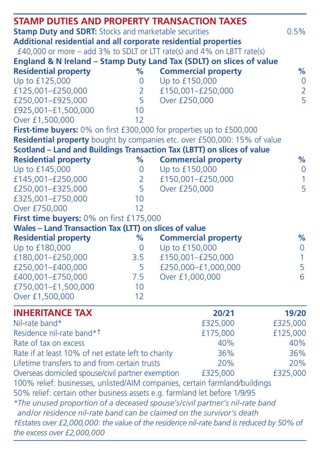| <b>STAMP DUTIES AND PROPERTY TRANSACTION TAXES</b>                          |                |                                                                                         |               |  |
|-----------------------------------------------------------------------------|----------------|-----------------------------------------------------------------------------------------|---------------|--|
| <b>Stamp Duty and SDRT: Stocks and marketable securities</b>                |                |                                                                                         |               |  |
| Additional residential and all corporate residential properties             |                |                                                                                         |               |  |
|                                                                             |                | £40,000 or more - add 3% to SDLT or LTT rate(s) and 4% on LBTT rate(s)                  |               |  |
|                                                                             |                | England & N Ireland - Stamp Duty Land Tax (SDLT) on slices of value                     |               |  |
| <b>Residential property</b>                                                 | %              | <b>Commercial property</b>                                                              | %             |  |
| Up to £125,000                                                              | 0              | Up to £150,000                                                                          | $\circ$       |  |
| £125.001-£250.000                                                           | $\overline{2}$ | £150.001-£250.000                                                                       | $\frac{2}{5}$ |  |
| £250,001-£925,000                                                           | 5              | Over £250,000                                                                           |               |  |
| £925,001-£1,500,000                                                         | 10             |                                                                                         |               |  |
| Over £1,500,000                                                             | 12             |                                                                                         |               |  |
| First-time buyers: 0% on first £300,000 for properties up to £500,000       |                |                                                                                         |               |  |
|                                                                             |                | Residential property bought by companies etc. over £500,000: 15% of value               |               |  |
|                                                                             |                | Scotland - Land and Buildings Transaction Tax (LBTT) on slices of value                 |               |  |
| <b>Residential property</b>                                                 | %              | <b>Commercial property</b>                                                              | %             |  |
| Up to £145,000                                                              | 0              | Up to £150,000                                                                          | $\mathbf 0$   |  |
| £145.001-£250.000                                                           | $\overline{2}$ | £150.001-£250.000                                                                       | 1             |  |
| £250,001-£325,000                                                           | 5              | Over £250,000                                                                           | 5             |  |
| £325,001-£750,000                                                           | 10             |                                                                                         |               |  |
| Over £750,000                                                               | 12             |                                                                                         |               |  |
| First time buyers: 0% on first £175,000                                     |                |                                                                                         |               |  |
| <b>Wales - Land Transaction Tax (LTT) on slices of value</b>                |                |                                                                                         |               |  |
| <b>Residential property</b>                                                 | %              | <b>Commercial property</b>                                                              | %             |  |
| Up to £180,000                                                              | $\Omega$       | Up to £150,000                                                                          | 0             |  |
| £180,001-£250,000                                                           | 3.5            | £150,001-£250,000                                                                       | 1             |  |
| £250.001-£400.000                                                           | 5              | £250.000-£1.000.000                                                                     | 5             |  |
| £400,001-£750,000                                                           | 7.5            | Over £1,000,000                                                                         | 6             |  |
| £750,001-£1,500,000                                                         | 10             |                                                                                         |               |  |
| Over £1,500,000                                                             | 12             |                                                                                         |               |  |
|                                                                             |                |                                                                                         |               |  |
| <b>INHERITANCE TAX</b>                                                      |                | 20/21                                                                                   | 19/20         |  |
| Nil-rate band*                                                              |                | £325,000                                                                                | £325,000      |  |
| Residence nil-rate band* <sup>†</sup>                                       |                | £175,000                                                                                | £125,000      |  |
| Rate of tax on excess                                                       |                | 40%                                                                                     | 40%           |  |
| Rate if at least 10% of net estate left to charity                          |                | 36%                                                                                     | 36%           |  |
| Lifetime transfers to and from certain trusts<br>20%                        |                |                                                                                         | 20%           |  |
| Overseas domiciled spouse/civil partner exemption<br>£325,000<br>£325,000   |                |                                                                                         |               |  |
| 100% relief: businesses, unlisted/AIM companies, certain farmland/buildings |                |                                                                                         |               |  |
| 50% relief: certain other business assets e.g. farmland let before 1/9/95   |                |                                                                                         |               |  |
|                                                                             |                | *The unused proportion of a deceased spouse's/civil partner's nil-rate band             |               |  |
| and/or residence nil-rate band can be claimed on the survivor's death       |                |                                                                                         |               |  |
|                                                                             |                | fEstates over £2,000,000; the value of the residence nil-rate band is reduced by 50% of |               |  |
| the excess over £2,000,000                                                  |                |                                                                                         |               |  |